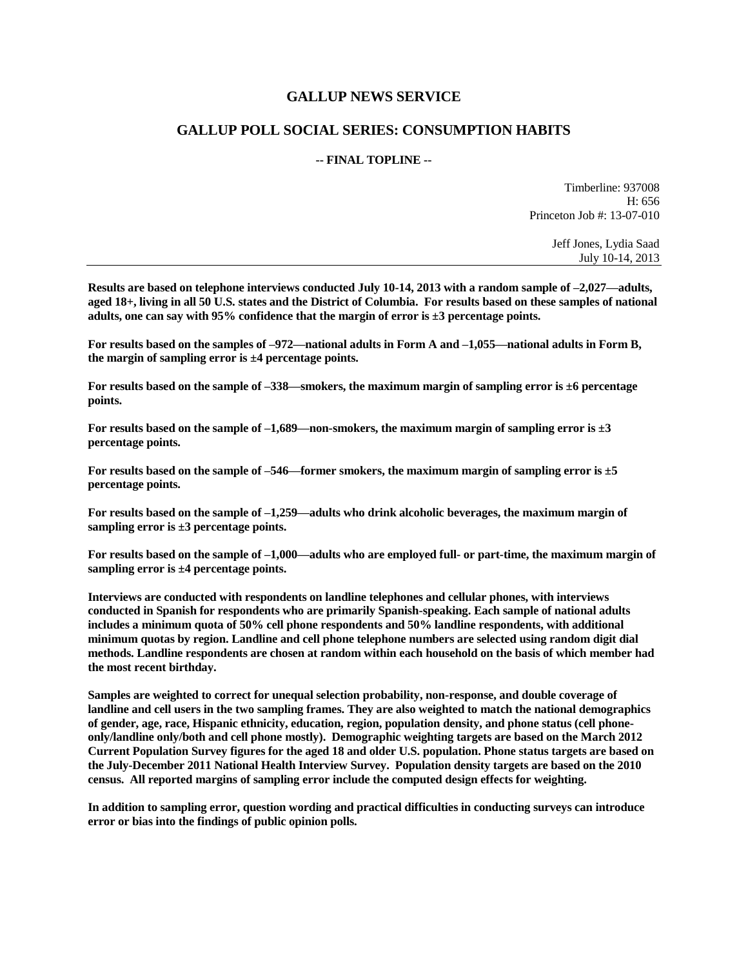## **GALLUP NEWS SERVICE**

## **GALLUP POLL SOCIAL SERIES: CONSUMPTION HABITS**

## **-- FINAL TOPLINE --**

Timberline: 937008 H: 656 Princeton Job #: 13-07-010

> Jeff Jones, Lydia Saad July 10-14, 2013

**Results are based on telephone interviews conducted July 10-14, 2013 with a random sample of –2,027—adults, aged 18+, living in all 50 U.S. states and the District of Columbia. For results based on these samples of national adults, one can say with 95% confidence that the margin of error is ±3 percentage points.**

**For results based on the samples of –972—national adults in Form A and –1,055—national adults in Form B, the margin of sampling error is ±4 percentage points.**

**For results based on the sample of –338—smokers, the maximum margin of sampling error is ±6 percentage points.**

**For results based on the sample of –1,689—non-smokers, the maximum margin of sampling error is ±3 percentage points.**

**For results based on the sample of –546—former smokers, the maximum margin of sampling error is ±5 percentage points.**

**For results based on the sample of –1,259—adults who drink alcoholic beverages, the maximum margin of sampling error is ±3 percentage points.**

**For results based on the sample of –1,000—adults who are employed full- or part-time, the maximum margin of sampling error is ±4 percentage points.**

**Interviews are conducted with respondents on landline telephones and cellular phones, with interviews conducted in Spanish for respondents who are primarily Spanish-speaking. Each sample of national adults includes a minimum quota of 50% cell phone respondents and 50% landline respondents, with additional minimum quotas by region. Landline and cell phone telephone numbers are selected using random digit dial methods. Landline respondents are chosen at random within each household on the basis of which member had the most recent birthday.**

**Samples are weighted to correct for unequal selection probability, non-response, and double coverage of landline and cell users in the two sampling frames. They are also weighted to match the national demographics of gender, age, race, Hispanic ethnicity, education, region, population density, and phone status (cell phoneonly/landline only/both and cell phone mostly). Demographic weighting targets are based on the March 2012 Current Population Survey figures for the aged 18 and older U.S. population. Phone status targets are based on the July-December 2011 National Health Interview Survey. Population density targets are based on the 2010 census. All reported margins of sampling error include the computed design effects for weighting.** 

**In addition to sampling error, question wording and practical difficulties in conducting surveys can introduce error or bias into the findings of public opinion polls.**